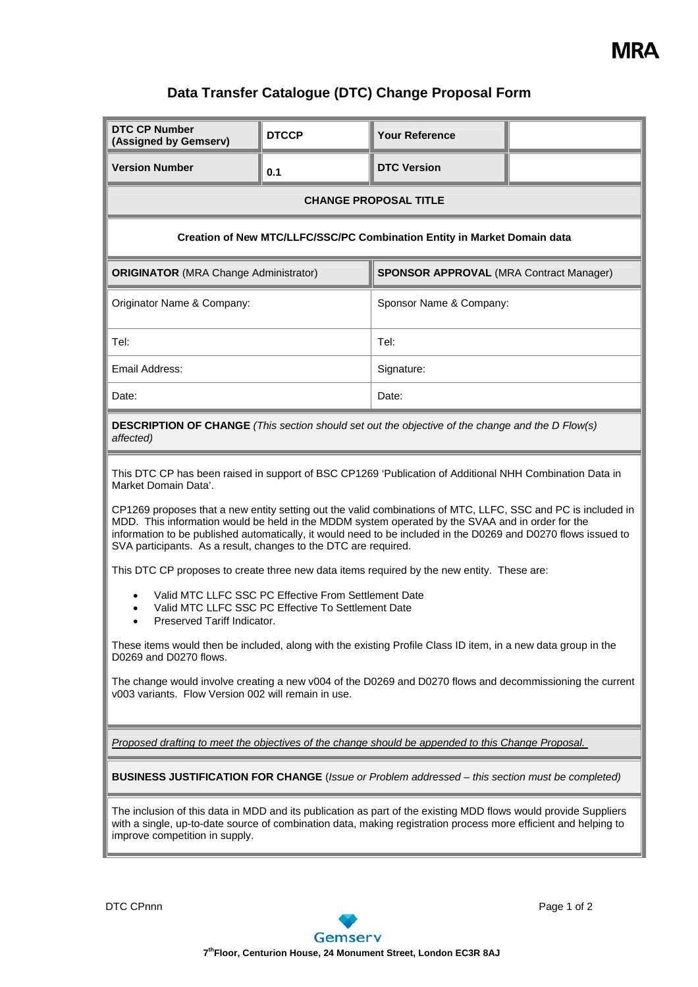

## **Data Transfer Catalogue (DTC) Change Proposal Form**

| <b>DTC CP Number</b><br>(Assigned by Gemserv)                                                                                                                                                                                                                                                                                                                                                                                                                                                                                                                                                                                                                                                                                                                                                                                                                                                                                                                                                                                                                                                      | <b>DTCCP</b> | <b>Your Reference</b>                          |  |  |  |  |
|----------------------------------------------------------------------------------------------------------------------------------------------------------------------------------------------------------------------------------------------------------------------------------------------------------------------------------------------------------------------------------------------------------------------------------------------------------------------------------------------------------------------------------------------------------------------------------------------------------------------------------------------------------------------------------------------------------------------------------------------------------------------------------------------------------------------------------------------------------------------------------------------------------------------------------------------------------------------------------------------------------------------------------------------------------------------------------------------------|--------------|------------------------------------------------|--|--|--|--|
| <b>Version Number</b>                                                                                                                                                                                                                                                                                                                                                                                                                                                                                                                                                                                                                                                                                                                                                                                                                                                                                                                                                                                                                                                                              | 0.1          | <b>DTC Version</b>                             |  |  |  |  |
| <b>CHANGE PROPOSAL TITLE</b>                                                                                                                                                                                                                                                                                                                                                                                                                                                                                                                                                                                                                                                                                                                                                                                                                                                                                                                                                                                                                                                                       |              |                                                |  |  |  |  |
| Creation of New MTC/LLFC/SSC/PC Combination Entity in Market Domain data                                                                                                                                                                                                                                                                                                                                                                                                                                                                                                                                                                                                                                                                                                                                                                                                                                                                                                                                                                                                                           |              |                                                |  |  |  |  |
| <b>ORIGINATOR</b> (MRA Change Administrator)                                                                                                                                                                                                                                                                                                                                                                                                                                                                                                                                                                                                                                                                                                                                                                                                                                                                                                                                                                                                                                                       |              | <b>SPONSOR APPROVAL (MRA Contract Manager)</b> |  |  |  |  |
| Originator Name & Company:                                                                                                                                                                                                                                                                                                                                                                                                                                                                                                                                                                                                                                                                                                                                                                                                                                                                                                                                                                                                                                                                         |              | Sponsor Name & Company:                        |  |  |  |  |
| Tel:                                                                                                                                                                                                                                                                                                                                                                                                                                                                                                                                                                                                                                                                                                                                                                                                                                                                                                                                                                                                                                                                                               |              | Tel:                                           |  |  |  |  |
| Email Address:                                                                                                                                                                                                                                                                                                                                                                                                                                                                                                                                                                                                                                                                                                                                                                                                                                                                                                                                                                                                                                                                                     |              | Signature:                                     |  |  |  |  |
| Date:                                                                                                                                                                                                                                                                                                                                                                                                                                                                                                                                                                                                                                                                                                                                                                                                                                                                                                                                                                                                                                                                                              |              | Date:                                          |  |  |  |  |
| <b>DESCRIPTION OF CHANGE</b> (This section should set out the objective of the change and the D Flow(s)<br>affected)                                                                                                                                                                                                                                                                                                                                                                                                                                                                                                                                                                                                                                                                                                                                                                                                                                                                                                                                                                               |              |                                                |  |  |  |  |
| This DTC CP has been raised in support of BSC CP1269 'Publication of Additional NHH Combination Data in<br>Market Domain Data'.<br>CP1269 proposes that a new entity setting out the valid combinations of MTC, LLFC, SSC and PC is included in<br>MDD. This information would be held in the MDDM system operated by the SVAA and in order for the<br>information to be published automatically, it would need to be included in the D0269 and D0270 flows issued to<br>SVA participants. As a result, changes to the DTC are required.<br>This DTC CP proposes to create three new data items required by the new entity. These are:<br>Valid MTC LLFC SSC PC Effective From Settlement Date<br>Valid MTC LLFC SSC PC Effective To Settlement Date<br>Preserved Tariff Indicator.<br>These items would then be included, along with the existing Profile Class ID item, in a new data group in the<br>D0269 and D0270 flows.<br>The change would involve creating a new v004 of the D0269 and D0270 flows and decommissioning the current<br>v003 variants. Flow Version 002 will remain in use. |              |                                                |  |  |  |  |
| Proposed drafting to meet the objectives of the change should be appended to this Change Proposal.<br><b>BUSINESS JUSTIFICATION FOR CHANGE</b> (Issue or Problem addressed - this section must be completed)<br>The inclusion of this data in MDD and its publication as part of the existing MDD flows would provide Suppliers<br>with a single, up-to-date source of combination data, making registration process more efficient and helping to<br>improve competition in supply.                                                                                                                                                                                                                                                                                                                                                                                                                                                                                                                                                                                                               |              |                                                |  |  |  |  |

DTC CPnnn Page 1 of 2